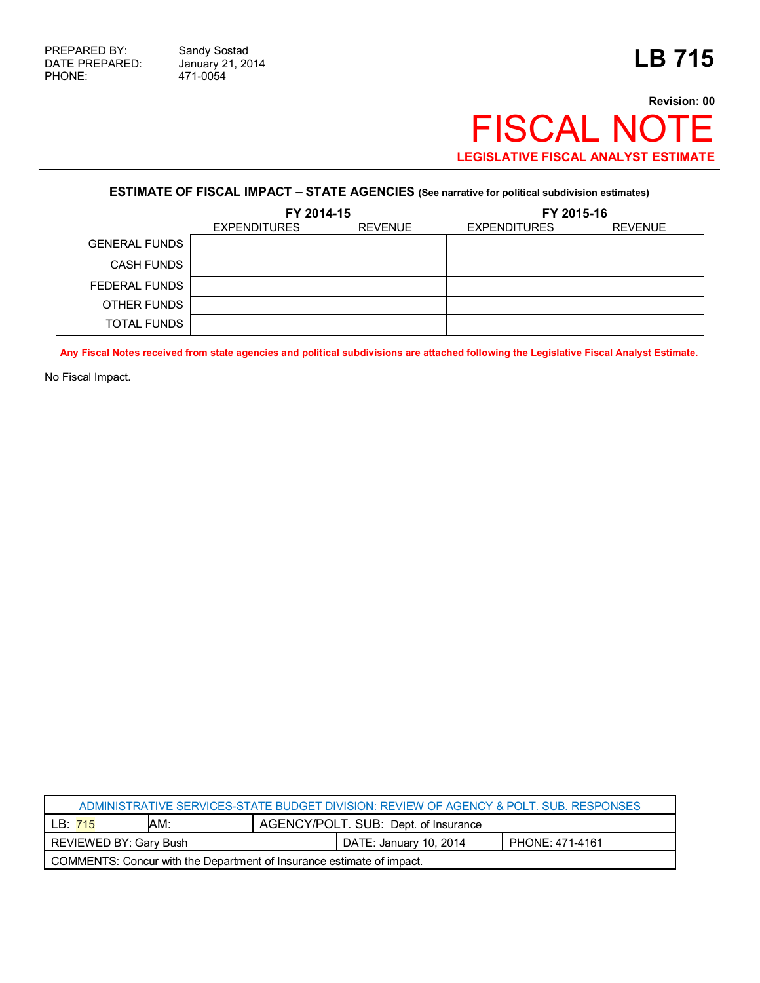471-0054

## **Revision: 00** FISCAL NOTE **LEGISLATIVE FISCAL ANALYST ESTIMATE**

| <b>ESTIMATE OF FISCAL IMPACT - STATE AGENCIES</b> (See narrative for political subdivision estimates) |                     |                |                     |                |  |
|-------------------------------------------------------------------------------------------------------|---------------------|----------------|---------------------|----------------|--|
|                                                                                                       | FY 2014-15          |                | FY 2015-16          |                |  |
|                                                                                                       | <b>EXPENDITURES</b> | <b>REVENUE</b> | <b>EXPENDITURES</b> | <b>REVENUE</b> |  |
| <b>GENERAL FUNDS</b>                                                                                  |                     |                |                     |                |  |
| <b>CASH FUNDS</b>                                                                                     |                     |                |                     |                |  |
| FEDERAL FUNDS                                                                                         |                     |                |                     |                |  |
| OTHER FUNDS                                                                                           |                     |                |                     |                |  |
| TOTAL FUNDS                                                                                           |                     |                |                     |                |  |

**Any Fiscal Notes received from state agencies and political subdivisions are attached following the Legislative Fiscal Analyst Estimate.**

No Fiscal Impact.

| ADMINISTRATIVE SERVICES-STATE BUDGET DIVISION: REVIEW OF AGENCY & POLT. SUB. RESPONSES |     |                                      |                        |                 |  |
|----------------------------------------------------------------------------------------|-----|--------------------------------------|------------------------|-----------------|--|
| LB: 715                                                                                | AM: | AGENCY/POLT. SUB: Dept. of Insurance |                        |                 |  |
| REVIEWED BY: Gary Bush                                                                 |     |                                      | DATE: January 10, 2014 | PHONE: 471-4161 |  |
| COMMENTS: Concur with the Department of Insurance estimate of impact.                  |     |                                      |                        |                 |  |